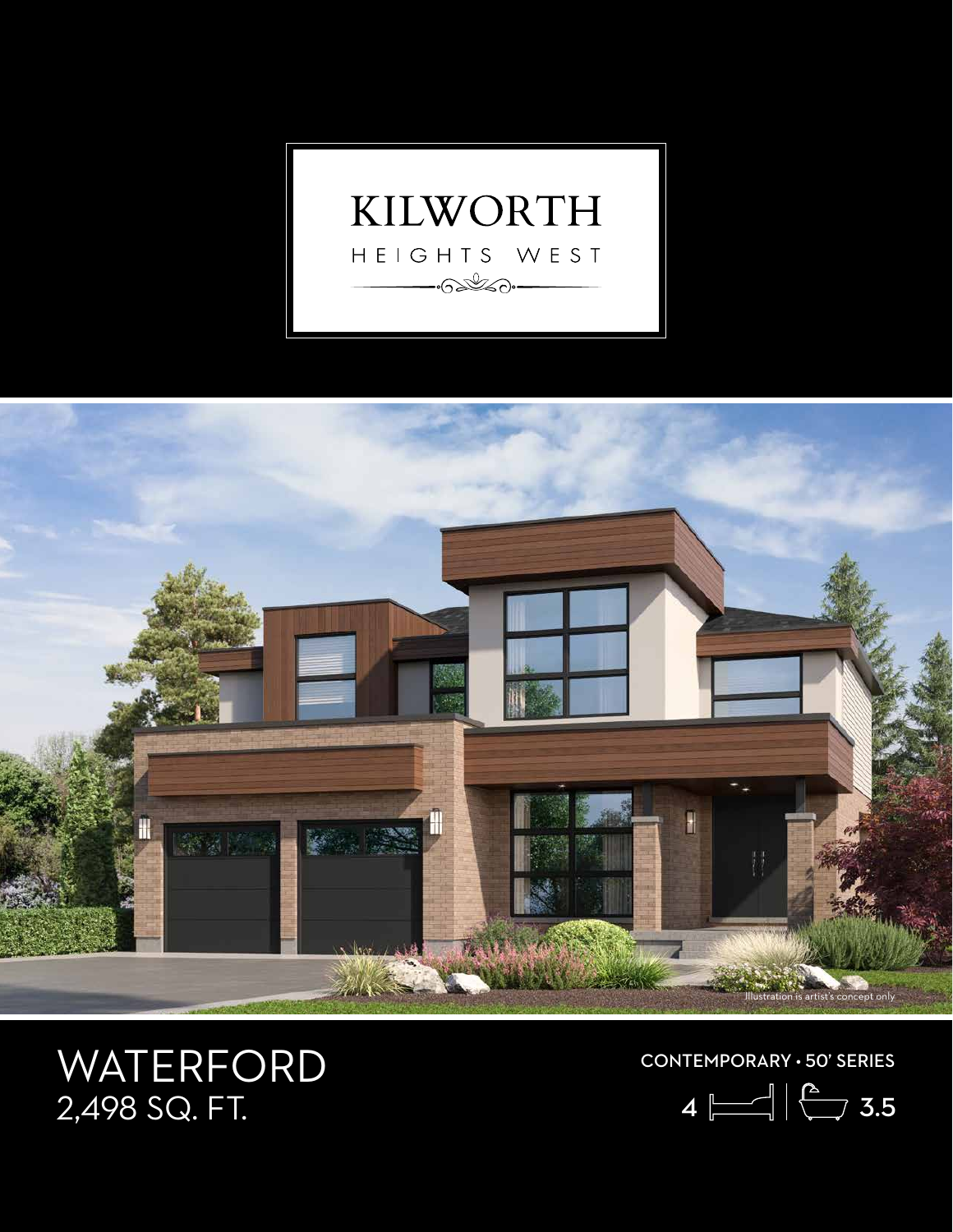



## WATERFORD<br>2,498 SQ. FT.

CONTEMPORARY • 50' SERIES

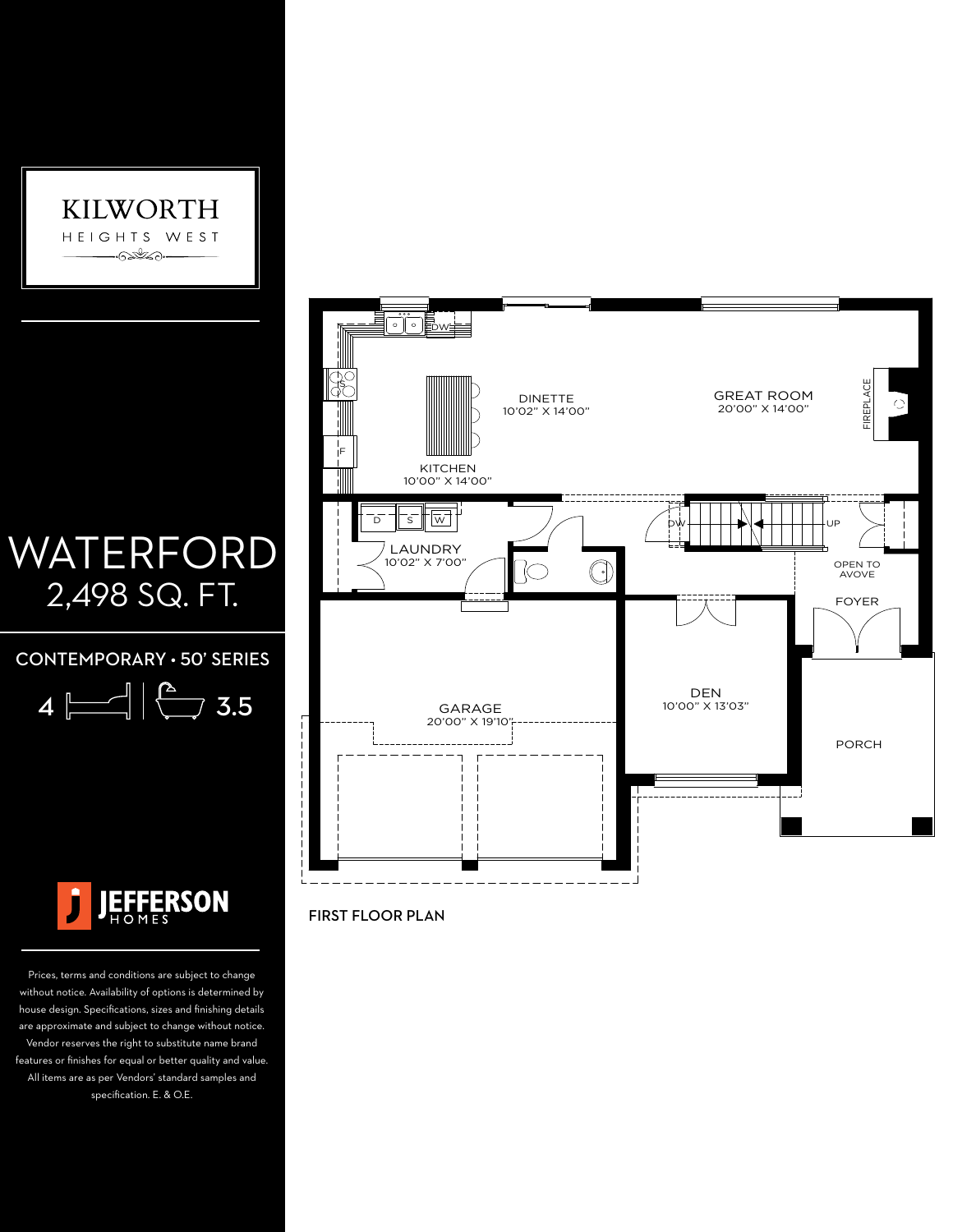

## WATERFORD 2,498 SQ. FT.

CONTEMPORARY • 50' SERIES





Prices, terms and conditions are subject to change without notice. Availability of options is determined by house design. Specifications, sizes and finishing details are approximate and subject to change without notice. Vendor reserves the right to substitute name brand features or finishes for equal or better quality and value. All items are as per Vendors' standard samples and specification. E. & O.E.



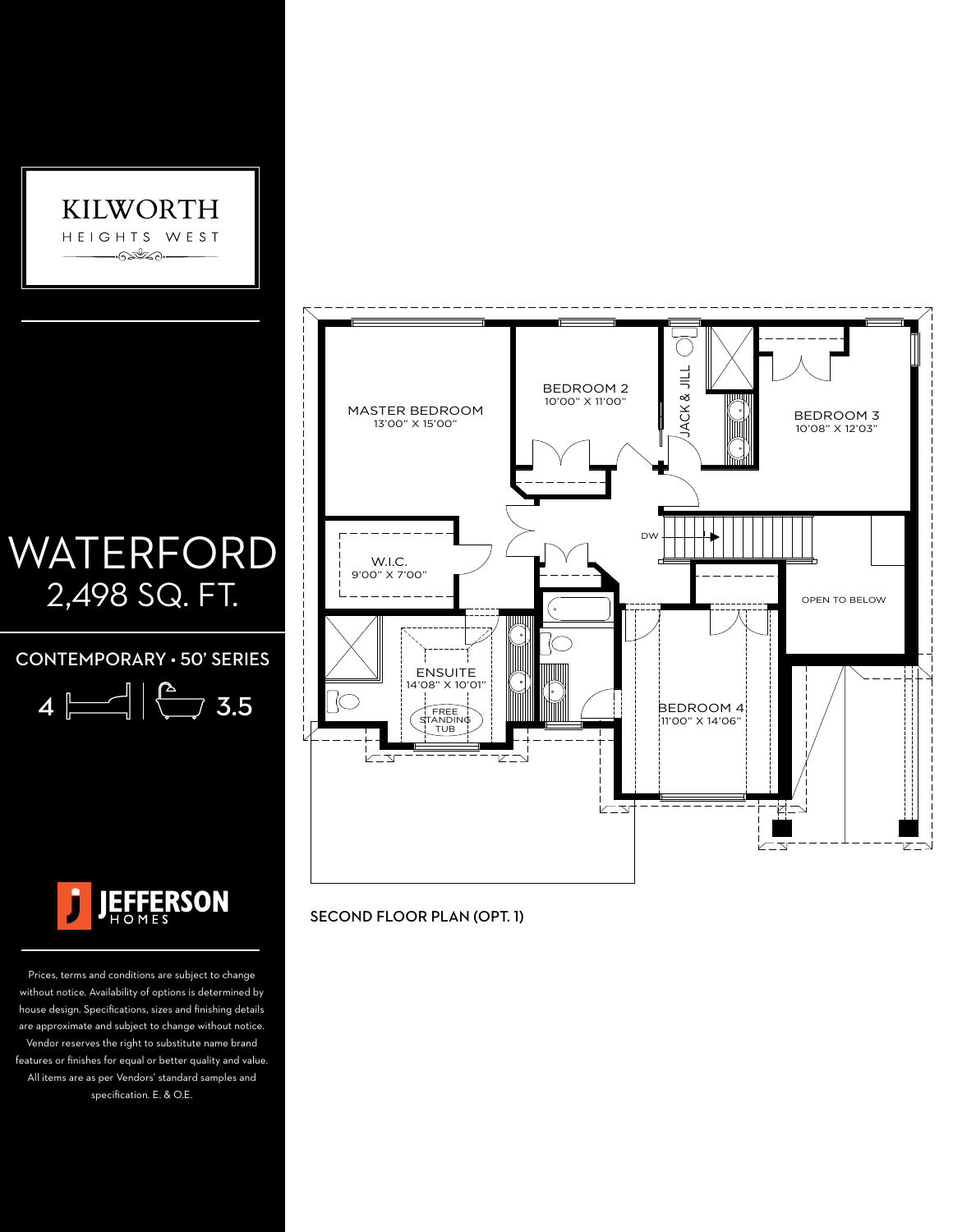

## WATERFORD 2,498 SQ. FT.

CONTEMPORARY • 50' SERIES

| 4<br>ш |  |  | .5<br>≺ |
|--------|--|--|---------|
|--------|--|--|---------|



Prices, terms and conditions are subject to change without notice. Availability of options is determined by house design. Specifications, sizes and finishing details are approximate and subject to change without notice. Vendor reserves the right to substitute name brand features or finishes for equal or better quality and value. All items are as per Vendors' standard samples and specification. E. & O.E.



SECOND FLOOR PLAN (OPT. 1)